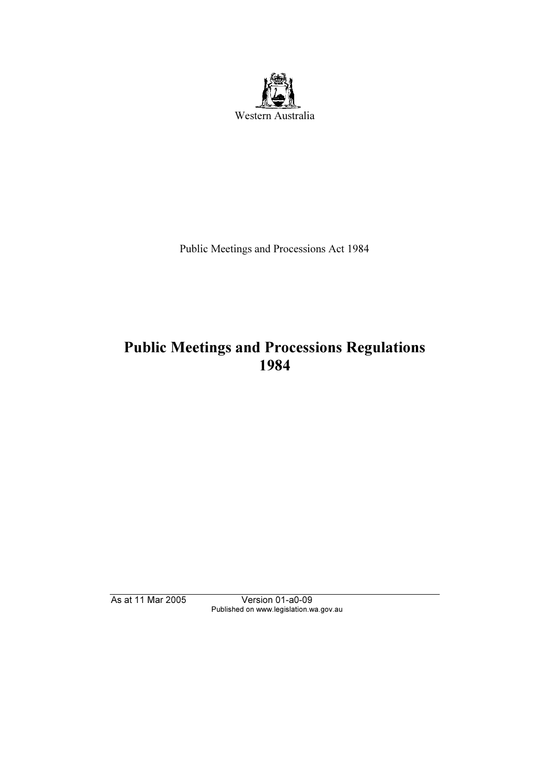

Public Meetings and Processions Act 1984

# Public Meetings and Processions Regulations 1984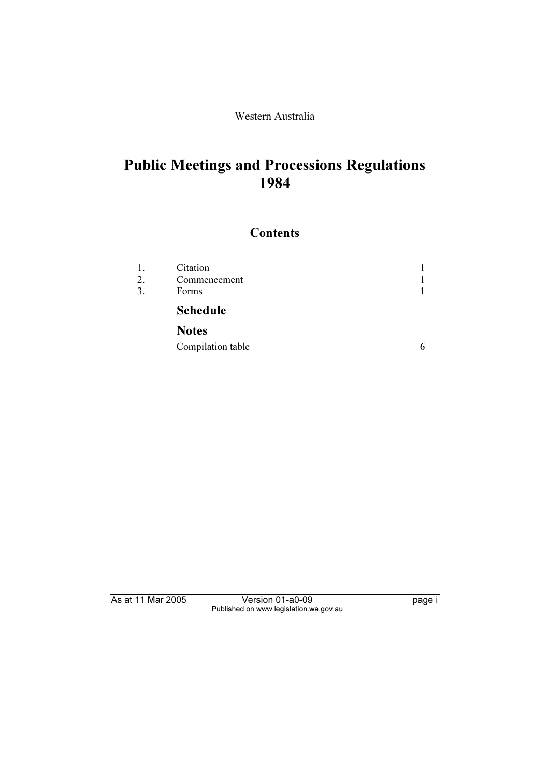### Western Australia

# Public Meetings and Processions Regulations 1984

## **Contents**

| 1.<br>2. | Citation<br>Commencement |  |
|----------|--------------------------|--|
| 3.       | Forms                    |  |
|          | <b>Schedule</b>          |  |
|          | <b>Notes</b>             |  |

| Compilation table |
|-------------------|
|-------------------|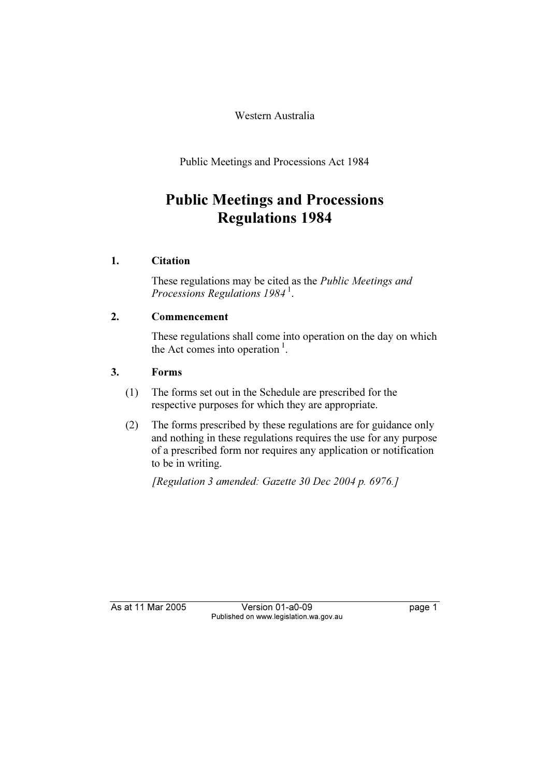Western Australia

Public Meetings and Processions Act 1984

## Public Meetings and Processions Regulations 1984

## 1. Citation

 These regulations may be cited as the Public Meetings and Processions Regulations  $1984<sup>1</sup>$ .

## 2. Commencement

 These regulations shall come into operation on the day on which the Act comes into operation<sup>1</sup>.

## 3. Forms

- (1) The forms set out in the Schedule are prescribed for the respective purposes for which they are appropriate.
- (2) The forms prescribed by these regulations are for guidance only and nothing in these regulations requires the use for any purpose of a prescribed form nor requires any application or notification to be in writing.

[Regulation 3 amended: Gazette 30 Dec 2004 p. 6976.]

As at 11 Mar 2005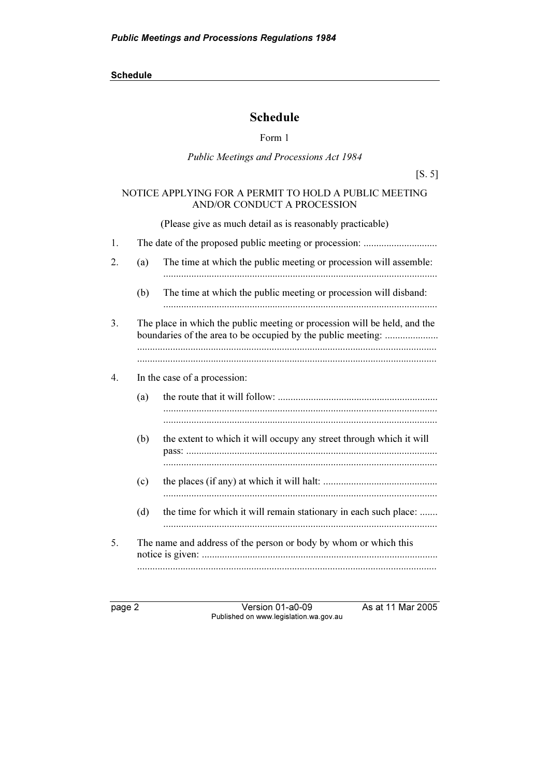## Schedule

Form 1

### Public Meetings and Processions Act 1984

[S. 5]

### NOTICE APPLYING FOR A PERMIT TO HOLD A PUBLIC MEETING AND/OR CONDUCT A PROCESSION

(Please give as much detail as is reasonably practicable)

| 1.               |     |                                                                                                                                           |
|------------------|-----|-------------------------------------------------------------------------------------------------------------------------------------------|
| 2.               | (a) | The time at which the public meeting or procession will assemble:                                                                         |
|                  | (b) | The time at which the public meeting or procession will disband:                                                                          |
| 3.               |     | The place in which the public meeting or procession will be held, and the<br>boundaries of the area to be occupied by the public meeting: |
| $\overline{4}$ . |     | In the case of a procession:                                                                                                              |
|                  | (a) |                                                                                                                                           |
|                  |     |                                                                                                                                           |
|                  | (b) | the extent to which it will occupy any street through which it will                                                                       |
|                  |     |                                                                                                                                           |
|                  | (c) |                                                                                                                                           |
|                  | (d) | the time for which it will remain stationary in each such place:                                                                          |
| 5.               |     | The name and address of the person or body by whom or which this                                                                          |
|                  |     |                                                                                                                                           |

page 2 Version 01-a0-09 As at 11 Mar 2005 Published on www.legislation.wa.gov.au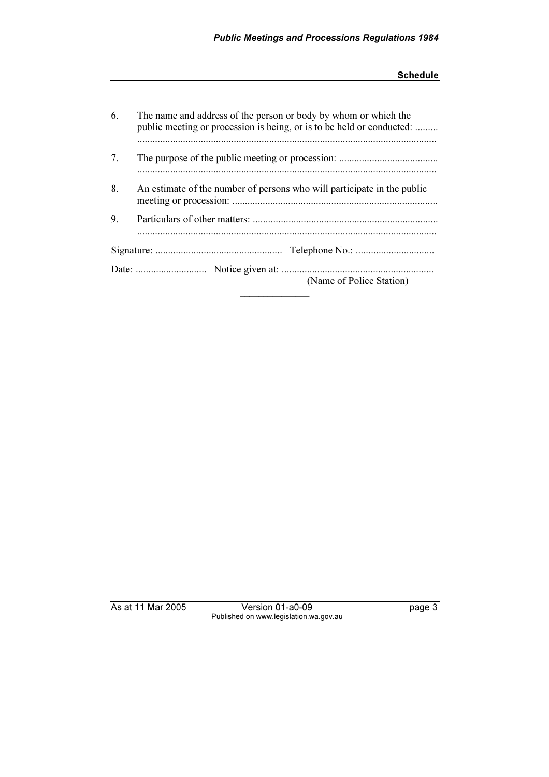| 6. | The name and address of the person or body by whom or which the<br>public meeting or procession is being, or is to be held or conducted: |  |  |
|----|------------------------------------------------------------------------------------------------------------------------------------------|--|--|
|    |                                                                                                                                          |  |  |
| 7. |                                                                                                                                          |  |  |
| 8. | An estimate of the number of persons who will participate in the public                                                                  |  |  |
| 9. |                                                                                                                                          |  |  |
|    |                                                                                                                                          |  |  |
|    | (Name of Police Station)                                                                                                                 |  |  |

Published on www.legislation.wa.gov.au Published on www.legislation.wa.gov.au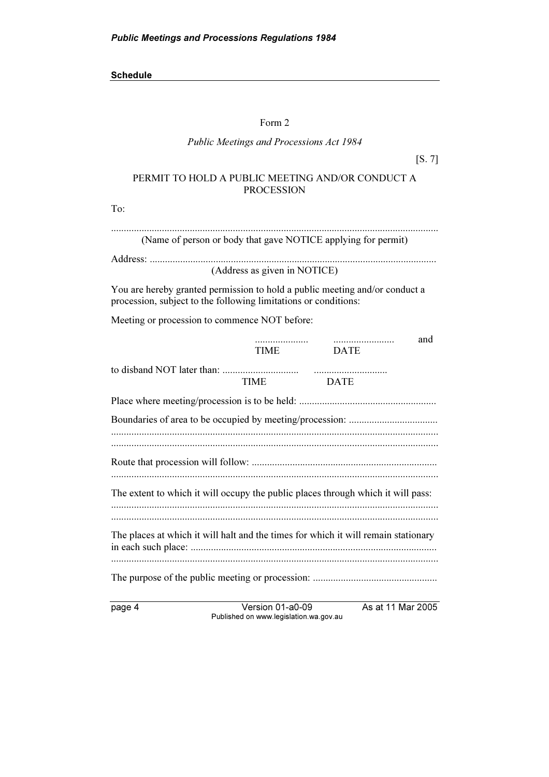#### Form 2

#### Public Meetings and Processions Act 1984

[S. 7]

### PERMIT TO HOLD A PUBLIC MEETING AND/OR CONDUCT A **PROCESSION**

To:

| (Name of person or body that gave NOTICE applying for permit) |  |  |
|---------------------------------------------------------------|--|--|

Address: ................................................................................................................. (Address as given in NOTICE)

You are hereby granted permission to hold a public meeting and/or conduct a procession, subject to the following limitations or conditions:

Meeting or procession to commence NOT before:

|                                                                                    | .<br>TIME   | <b>DATE</b> | and |  |
|------------------------------------------------------------------------------------|-------------|-------------|-----|--|
|                                                                                    | <b>TIME</b> | <b>DATE</b> |     |  |
|                                                                                    |             |             |     |  |
|                                                                                    |             |             |     |  |
|                                                                                    |             |             |     |  |
| The extent to which it will occupy the public places through which it will pass:   |             |             |     |  |
| The places at which it will halt and the times for which it will remain stationary |             |             |     |  |
|                                                                                    |             |             |     |  |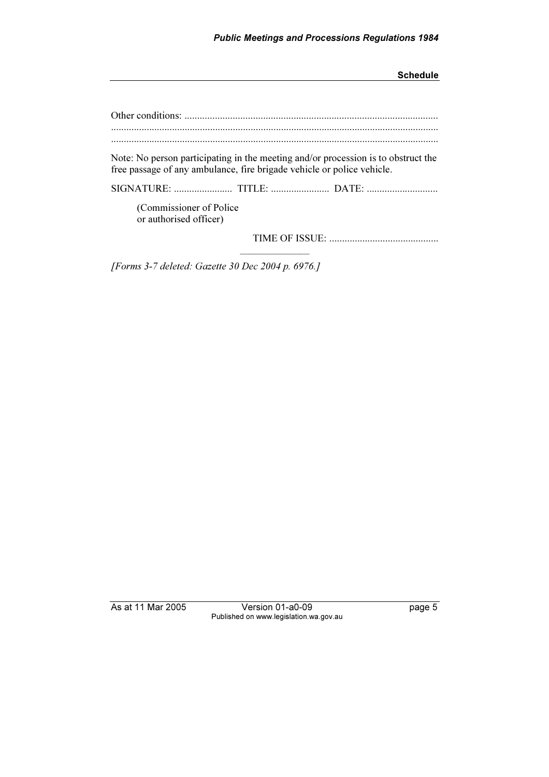| Note: No person participating in the meeting and/or procession is to obstruct the<br>free passage of any ambulance, fire brigade vehicle or police vehicle. |
|-------------------------------------------------------------------------------------------------------------------------------------------------------------|
|                                                                                                                                                             |
| (Commissioner of Police)<br>or authorised officer)                                                                                                          |
|                                                                                                                                                             |

[Forms 3-7 deleted: Gazette 30 Dec 2004 p. 6976.]